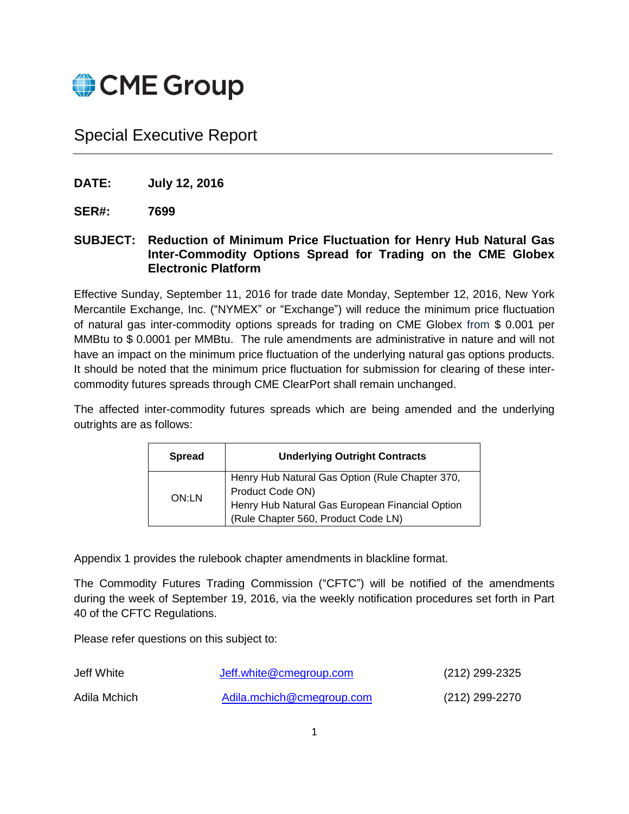

Special Executive Report

- **DATE: July 12, 2016**
- **SER#: 7699**
- **SUBJECT: Reduction of Minimum Price Fluctuation for Henry Hub Natural Gas Inter-Commodity Options Spread for Trading on the CME Globex Electronic Platform**

Effective Sunday, September 11, 2016 for trade date Monday, September 12, 2016, New York Mercantile Exchange, Inc. ("NYMEX" or "Exchange") will reduce the minimum price fluctuation of natural gas inter-commodity options spreads for trading on CME Globex from \$ 0.001 per MMBtu to \$ 0.0001 per MMBtu. The rule amendments are administrative in nature and will not have an impact on the minimum price fluctuation of the underlying natural gas options products. It should be noted that the minimum price fluctuation for submission for clearing of these intercommodity futures spreads through CME ClearPort shall remain unchanged.

The affected inter-commodity futures spreads which are being amended and the underlying outrights are as follows:

| <b>Spread</b> | <b>Underlying Outright Contracts</b>                                                   |  |
|---------------|----------------------------------------------------------------------------------------|--|
| ON:LN         | Henry Hub Natural Gas Option (Rule Chapter 370,<br>Product Code ON)                    |  |
|               | Henry Hub Natural Gas European Financial Option<br>(Rule Chapter 560, Product Code LN) |  |

Appendix 1 provides the rulebook chapter amendments in blackline format.

The Commodity Futures Trading Commission ("CFTC") will be notified of the amendments during the week of September 19, 2016, via the weekly notification procedures set forth in Part 40 of the CFTC Regulations.

Please refer questions on this subject to:

| Jeff White   | Jeff.white@cmegroup.com   | (212) 299-2325 |
|--------------|---------------------------|----------------|
| Adila Mchich | Adila.mchich@cmegroup.com | (212) 299-2270 |